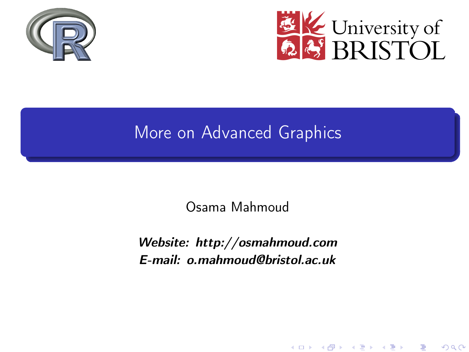<span id="page-0-0"></span>



K ロ X K 御 X K 평 X K 평 X ( 평 X )

 $2Q$ 

### More on Advanced Graphics

Osama Mahmoud

Website: http://osmahmoud.com E-mail: o.mahmoud@bristol.ac.uk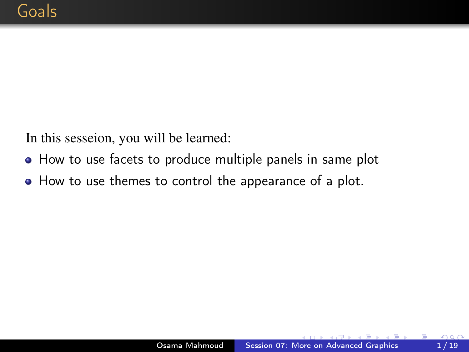<span id="page-1-0"></span>In this sesseion, you will be learned:

- How to use facets to produce multiple panels in same plot
- How to use themes to control the appearance of a plot.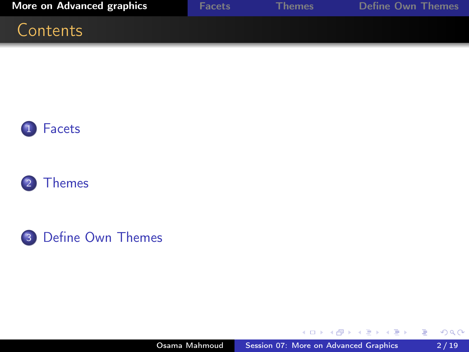<span id="page-2-0"></span>

| <b>More on Advanced graphics</b> | <b>Facets</b> | <b>Themes</b> | <b>Define Own Themes</b> |
|----------------------------------|---------------|---------------|--------------------------|
| Contents                         |               |               |                          |







 $\mathcal{A}$  . 闹 **In**   $\mathbf{A} \equiv \mathbf{A} \times \mathbf{A} \equiv \mathbf{A}$ 

Έ

 $\rightarrow$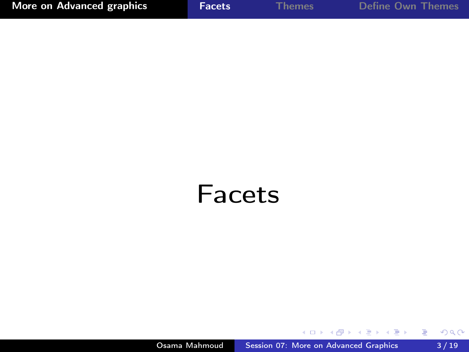<span id="page-3-0"></span>

| More on Advanced graphics | <b>Facets</b> | <b>Themes</b> | Define Own Themes |
|---------------------------|---------------|---------------|-------------------|
|                           |               |               |                   |

## Facets

 $\rightarrow$ ×. n. 41 G.

×

 $\,$   $\,$ 

君  $\,$   $\,$  重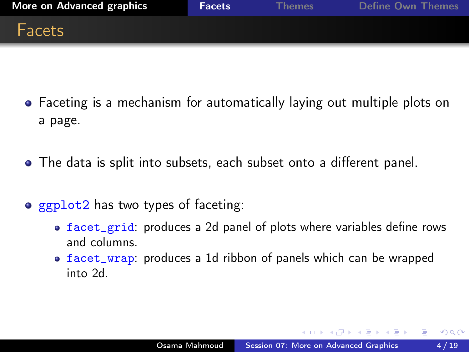

- Faceting is a mechanism for automatically laying out multiple plots on a page.
- The data is split into subsets, each subset onto a different panel.
- ggplot2 has two types of faceting:
	- facet\_grid: produces a 2d panel of plots where variables define rows and columns.
	- facet\_wrap: produces a 1d ribbon of panels which can be wrapped into 2d.

A & Y E & Y E &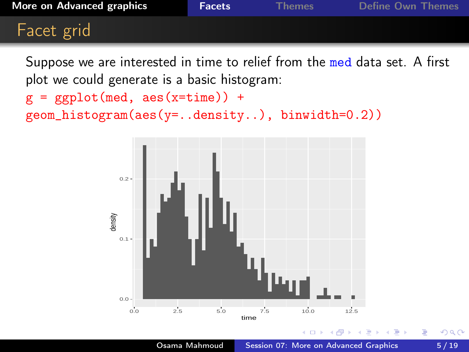Suppose we are interested in time to relief from the med data set. A first plot we could generate is a basic histogram:

```
g = ggplot(med, aes(x=time)) +geom_histogram(aes(y=..density..), binwidth=0.2))
```
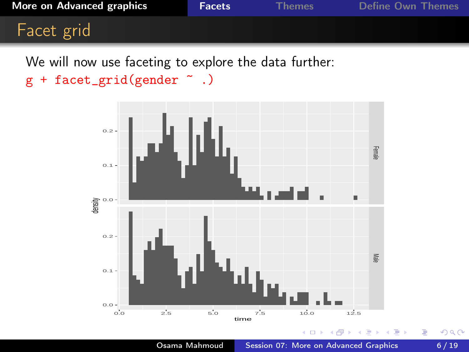We will now use faceting to explore the data further:

```
g + facet_grid(gender \tilde{ } .)
```
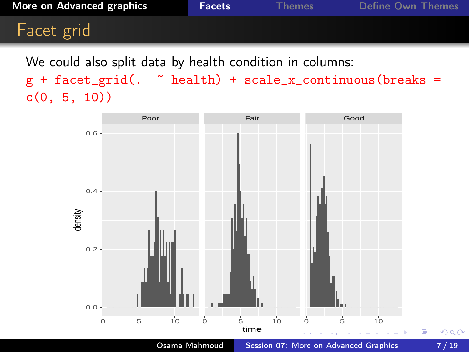### Facet grid

We could also split data by health condition in columns:

 $g +$  facet\_grid(.  $\tilde{ }$  health) + scale\_x\_continuous(breaks =  $c(0, 5, 10)$ 

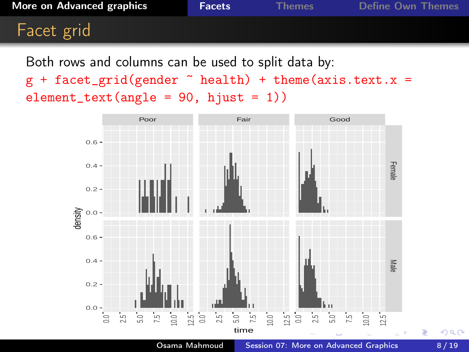### Facet grid

Both rows and columns can be used to split data by:

 $g$  + facet\_grid(gender  $\tilde{ }$  health) + theme(axis.text.x =  $element\_text(name = 90, hjust = 1))$ 



つくへ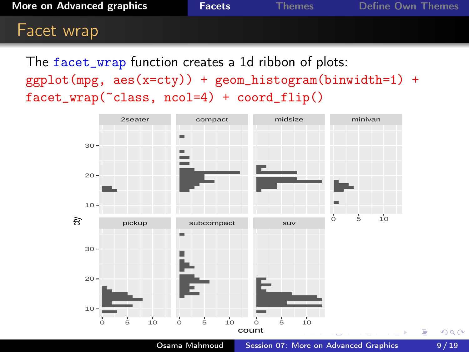**[More on Advanced graphics](#page-2-0) [Facets](#page-3-0)** For [Themes](#page-10-0) [Define Own Themes](#page-16-0)

### Facet wrap

The facet\_wrap function creates a 1d ribbon of plots: ggplot(mpg, aes(x=cty)) + geom\_histogram(binwidth=1) + facet\_wrap(~class, ncol=4) + coord\_flip()



Osama Mahmoud [Session 07: More on Advanced Graphics](#page-0-0) 9/19

 $QQ$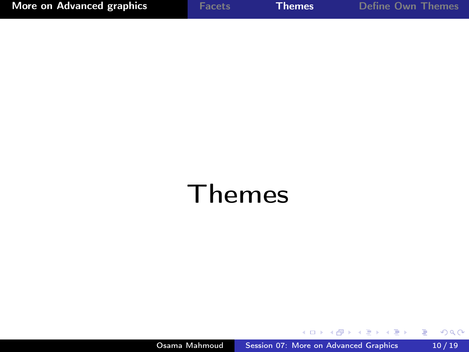<span id="page-10-0"></span>

| More on Advanced graphics | <b>Facets</b> | <b>Themes</b> | <b>Define Own Themes</b> |
|---------------------------|---------------|---------------|--------------------------|
|---------------------------|---------------|---------------|--------------------------|

# Themes

지금에 지금

n.

重

 $\rightarrow$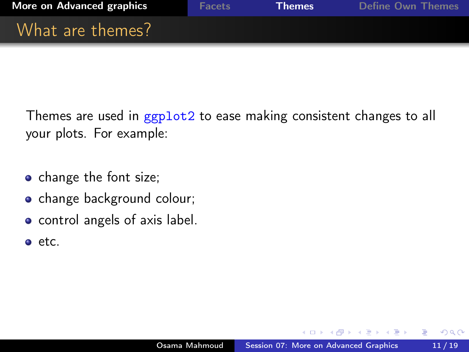

Themes are used in ggplot2 to ease making consistent changes to all your plots. For example:

- change the font size;
- change background colour;
- control angels of axis label.
- o etc.

つくい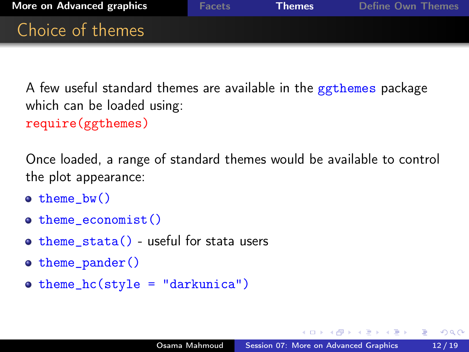

A few useful standard themes are available in the ggthemes package which can be loaded using:

require(ggthemes)

Once loaded, a range of standard themes would be available to control the plot appearance:

- $\bullet$  theme bw()
- o theme\_economist()
- $\bullet$  theme\_stata() useful for stata users
- $\bullet$  theme\_pander()
- $\bullet$  theme\_hc(style = "darkunica")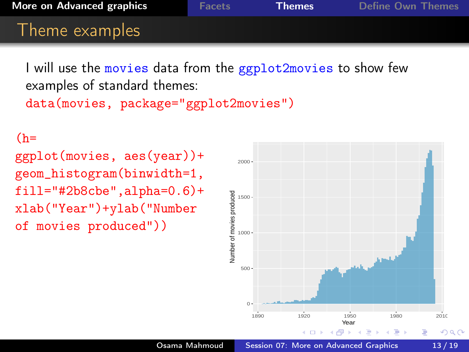I will use the movies data from the ggplot2movies to show few examples of standard themes:

```
data(movies, package="ggplot2movies")
```
 $(h=$ 

ggplot(movies, aes(year))+ geom\_histogram(binwidth=1, fill="#2b8cbe",alpha=0.6)+ xlab("Year")+ylab("Number of movies produced"))

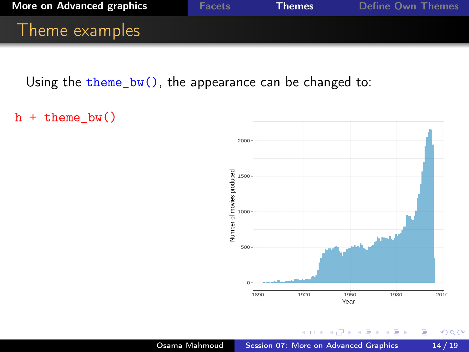

Using the theme\_bw(), the appearance can be changed to:

```
h + theme_bw()
```


 $290$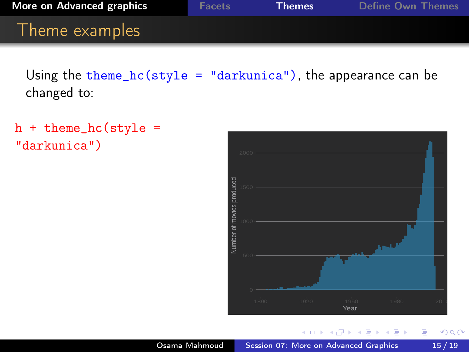Using the theme\_hc(style = "darkunica"), the appearance can be changed to:

```
h + theme_hc(\text{style} ="darkunica")
```


つくへ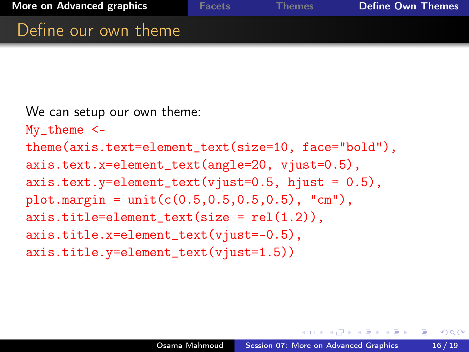$QQ$ 

### <span id="page-16-0"></span>Define our own theme

```
We can setup our own theme:
My_theme <-
theme(axis.text=element_text(size=10, face="bold"),
axis.text.x=element_text(angle=20, vjust=0.5),
axis. text. y = element\_text(vjust=0.5, hjust = 0.5),plot.margin = unit(c(0.5, 0.5, 0.5, 0.5), "cm",axis.title=element_test(size = rel(1.2)),axis.title.x=element_text(vjust=-0.5),
axis.title.y=element_text(vjust=1.5))
```
**ARTHUR BAY**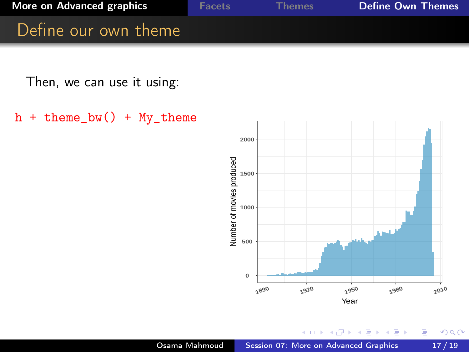

Then, we can use it using:

 $h + theme_bw() + My_theme$ 



 $299$ 

∍

Ξ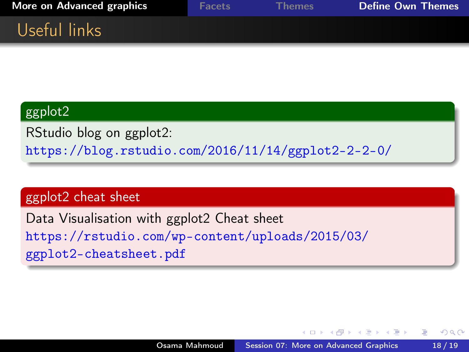| More on Advanced graphics | <b>Facets</b> | <b>Themes</b> | <b>Define Own Themes</b> |
|---------------------------|---------------|---------------|--------------------------|
| Useful links              |               |               |                          |

#### ggplot2

RStudio blog on ggplot2: <https://blog.rstudio.com/2016/11/14/ggplot2-2-2-0/>

#### ggplot2 cheat sheet

Data Visualisation with ggplot2 Cheat sheet [https://rstudio.com/wp-content/uploads/2015/03/](https://rstudio.com/wp-content/uploads/2015/03/ggplot2-cheatsheet.pdf) [ggplot2-cheatsheet.pdf](https://rstudio.com/wp-content/uploads/2015/03/ggplot2-cheatsheet.pdf)

医间周的间隔

つくい